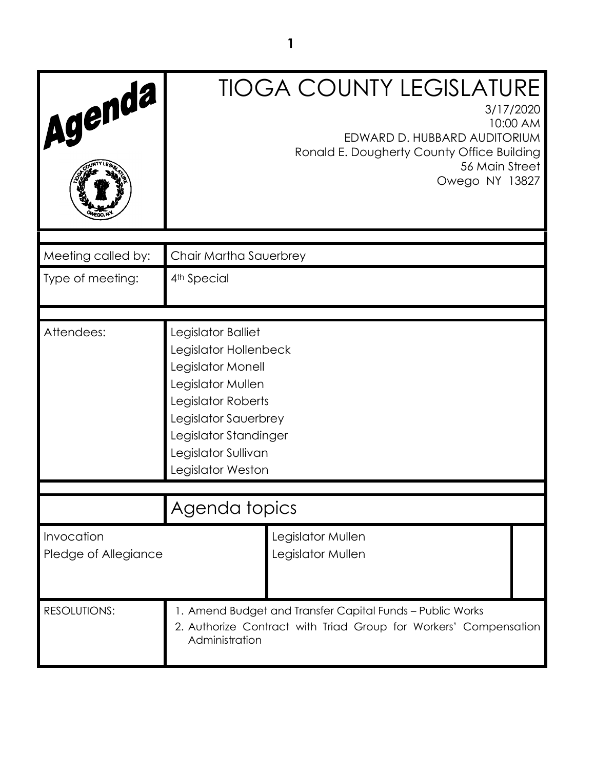| Agenda                             | <b>TIOGA COUNTY LEGISLATURE</b><br>3/17/2020<br>10:00 AM<br>EDWARD D. HUBBARD AUDITORIUM<br>Ronald E. Dougherty County Office Building<br>56 Main Street<br>Owego NY 13827                               |  |  |
|------------------------------------|----------------------------------------------------------------------------------------------------------------------------------------------------------------------------------------------------------|--|--|
| Meeting called by:                 | Chair Martha Sauerbrey                                                                                                                                                                                   |  |  |
| Type of meeting:                   | 4 <sup>th</sup> Special                                                                                                                                                                                  |  |  |
| Attendees:                         | Legislator Balliet<br>Legislator Hollenbeck<br>Legislator Monell<br>Legislator Mullen<br>Legislator Roberts<br>Legislator Sauerbrey<br>Legislator Standinger<br>Legislator Sullivan<br>Legislator Weston |  |  |
|                                    | Agenda topics                                                                                                                                                                                            |  |  |
| Invocation<br>Pledge of Allegiance | Legislator Mullen<br>Legislator Mullen                                                                                                                                                                   |  |  |
| <b>RESOLUTIONS:</b>                | 1. Amend Budget and Transfer Capital Funds - Public Works<br>2. Authorize Contract with Triad Group for Workers' Compensation<br>Administration                                                          |  |  |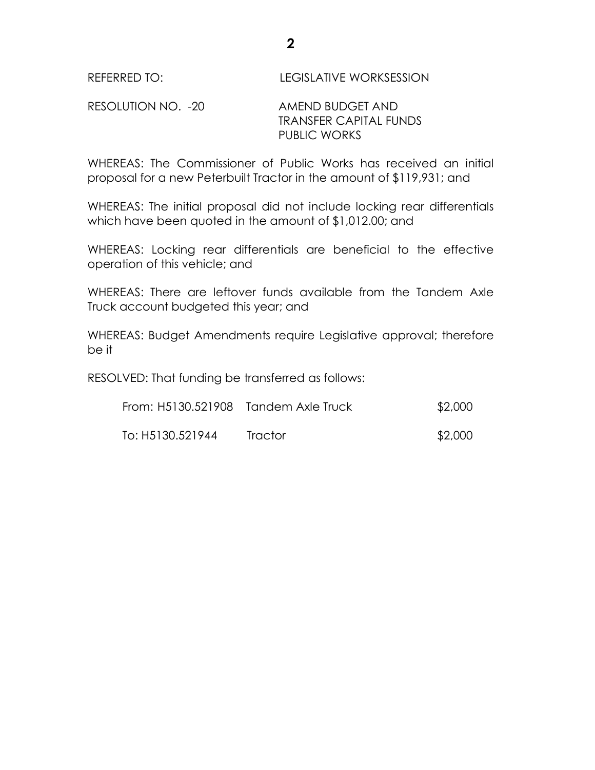## RESOLUTION NO. -20 AMEND BUDGET AND TRANSFER CAPITAL FUNDS PUBLIC WORKS

WHEREAS: The Commissioner of Public Works has received an initial proposal for a new Peterbuilt Tractor in the amount of \$119,931; and

WHEREAS: The initial proposal did not include locking rear differentials which have been quoted in the amount of \$1,012.00; and

WHEREAS: Locking rear differentials are beneficial to the effective operation of this vehicle; and

WHEREAS: There are leftover funds available from the Tandem Axle Truck account budgeted this year; and

WHEREAS: Budget Amendments require Legislative approval; therefore be it

RESOLVED: That funding be transferred as follows:

| From: H5130.521908 Tandem Axle Truck |         | \$2,000 |
|--------------------------------------|---------|---------|
| To: H5130.521944                     | Tractor | \$2,000 |